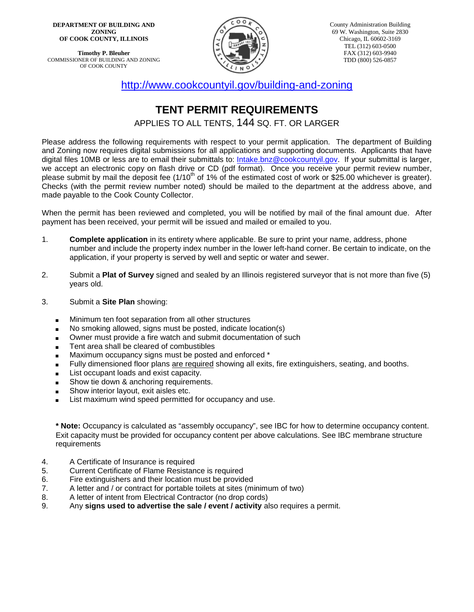**DEPARTMENT OF BUILDING AND ZONING OF COOK COUNTY, ILLINOIS**

**Timothy P. Bleuher** COMMISSIONER OF BUILDING AND ZONING OF COOK COUNTY



<http://www.cookcountyil.gov/building-and-zoning>

## **TENT PERMIT REQUIREMENTS**

APPLIES TO ALL TENTS, 144 SQ. FT. OR LARGER

Please address the following requirements with respect to your permit application. The department of Building and Zoning now requires digital submissions for all applications and supporting documents. Applicants that have digital files 10MB or less are to email their submittals to: [Intake.bnz@cookcountyil.gov.](mailto:Intake.bnz@cookcountyil.gov) If your submittal is larger, we accept an electronic copy on flash drive or CD (pdf format). Once you receive your permit review number, please submit by mail the deposit fee (1/10<sup>th</sup> of 1% of the estimated cost of work or \$25.00 whichever is greater). Checks (with the permit review number noted) should be mailed to the department at the address above, and made payable to the Cook County Collector.

When the permit has been reviewed and completed, you will be notified by mail of the final amount due. After payment has been received, your permit will be issued and mailed or emailed to you.

- 1. **Complete application** in its entirety where applicable. Be sure to print your name, address, phone number and include the property index number in the lower left-hand corner. Be certain to indicate, on the application, if your property is served by well and septic or water and sewer.
- 2. Submit a **Plat of Survey** signed and sealed by an Illinois registered surveyor that is not more than five (5) years old.
- 3. Submit a **Site Plan** showing:
	- Minimum ten foot separation from all other structures
	- No smoking allowed, signs must be posted, indicate location(s)
	- Owner must provide a fire watch and submit documentation of such
	- Tent area shall be cleared of combustibles
	- Maximum occupancy signs must be posted and enforced \*
	- Fully dimensioned floor plans are required showing all exits, fire extinguishers, seating, and booths.
	- List occupant loads and exist capacity.
	- Show tie down & anchoring requirements.
	- Show interior layout, exit aisles etc.
	- List maximum wind speed permitted for occupancy and use.

**\* Note:** Occupancy is calculated as "assembly occupancy", see IBC for how to determine occupancy content. Exit capacity must be provided for occupancy content per above calculations. See IBC membrane structure requirements

- 4. A Certificate of Insurance is required
- 5. Current Certificate of Flame Resistance is required
- 6. Fire extinguishers and their location must be provided<br>7. A letter and / or contract for portable toilets at sites (mi
- A letter and / or contract for portable toilets at sites (minimum of two)
- 8. A letter of intent from Electrical Contractor (no drop cords)<br>9. Any **signs used to advertise the sale / event / activity** all
- Any signs used to advertise the sale / event / activity also requires a permit.